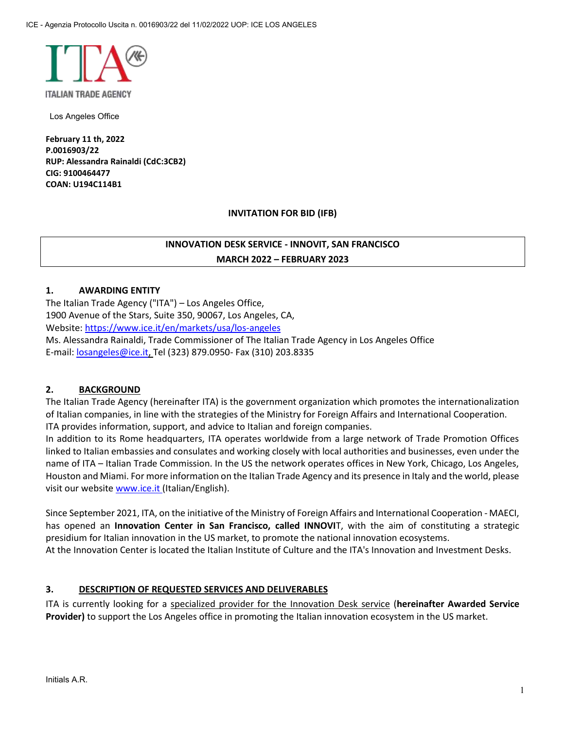

Los Angeles Office

**February 11 th, 2022 P.0016903/22 RUP: Alessandra Rainaldi (CdC:3CB2) CIG: 9100464477 COAN: U194C114B1**

#### **INVITATION FOR BID (IFB)**

# **INNOVATION DESK SERVICE - INNOVIT, SAN FRANCISCO MARCH 2022 – FEBRUARY 2023**

# **1. AWARDING ENTITY**

The Italian Trade Agency ("ITA") – Los Angeles Office, 1900 Avenue of the Stars, Suite 350, 90067, Los Angeles, CA, Website: https://www.ice.it/en/markets/usa/los-angeles

Ms. Alessandra Rainaldi, Trade Commissioner of The Italian Trade Agency in Los Angeles Office E-mail: losangeles@ice.it, Tel (323) 879.0950- Fax (310) 203.8335

#### **2. BACKGROUND**

The Italian Trade Agency (hereinafter ITA) is the government organization which promotes the internationalization of Italian companies, in line with the strategies of the Ministry for Foreign Affairs and International Cooperation. ITA provides information, support, and advice to Italian and foreign companies.

In addition to its Rome headquarters, ITA operates worldwide from a large network of Trade Promotion Offices linked to Italian embassies and consulates and working closely with local authorities and businesses, even under the name of ITA – Italian Trade Commission. In the US the network operates offices in New York, Chicago, Los Angeles, Houston and Miami. For more information on the Italian Trade Agency and its presence in Italy and the world, please visit our website www.ice.it (Italian/English).

Since September 2021, ITA, on the initiative of the Ministry of Foreign Affairs and International Cooperation - MAECI, has opened an **Innovation Center in San Francisco, called INNOVI**T, with the aim of constituting a strategic presidium for Italian innovation in the US market, to promote the national innovation ecosystems. At the Innovation Center is located the Italian Institute of Culture and the ITA's Innovation and Investment Desks.

# **3. DESCRIPTION OF REQUESTED SERVICES AND DELIVERABLES**

ITA is currently looking for a specialized provider for the Innovation Desk service (**hereinafter Awarded Service Provider)** to support the Los Angeles office in promoting the Italian innovation ecosystem in the US market.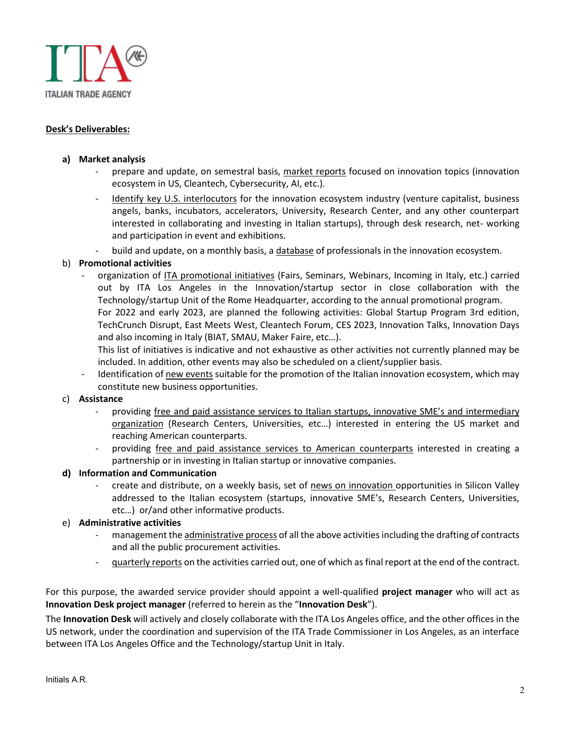

# **Desk's Deliverables:**

#### **a) Market analysis**

- prepare and update, on semestral basis, market reports focused on innovation topics (innovation ecosystem in US, Cleantech, Cybersecurity, AI, etc.).
- Identify key U.S. interlocutors for the innovation ecosystem industry (venture capitalist, business angels, banks, incubators, accelerators, University, Research Center, and any other counterpart interested in collaborating and investing in Italian startups), through desk research, net- working and participation in event and exhibitions.
- build and update, on a monthly basis, a database of professionals in the innovation ecosystem.

#### b) **Promotional activities**

organization of ITA promotional initiatives (Fairs, Seminars, Webinars, Incoming in Italy, etc.) carried out by ITA Los Angeles in the Innovation/startup sector in close collaboration with the Technology/startup Unit of the Rome Headquarter, according to the annual promotional program. For 2022 and early 2023, are planned the following activities: Global Startup Program 3rd edition, TechCrunch Disrupt, East Meets West, Cleantech Forum, CES 2023, Innovation Talks, Innovation Days and also incoming in Italy (BIAT, SMAU, Maker Faire, etc…).

This list of initiatives is indicative and not exhaustive as other activities not currently planned may be included. In addition, other events may also be scheduled on a client/supplier basis.

Identification of new events suitable for the promotion of the Italian innovation ecosystem, which may constitute new business opportunities.

#### c) **Assistance**

- providing free and paid assistance services to Italian startups, innovative SME's and intermediary organization (Research Centers, Universities, etc…) interested in entering the US market and reaching American counterparts.
- providing free and paid assistance services to American counterparts interested in creating a partnership or in investing in Italian startup or innovative companies.

#### **d) Information and Communication**

create and distribute, on a weekly basis, set of news on innovation opportunities in Silicon Valley addressed to the Italian ecosystem (startups, innovative SME's, Research Centers, Universities, etc…) or/and other informative products.

#### e) **Administrative activities**

- management the administrative process of all the above activities including the drafting of contracts and all the public procurement activities.
- quarterly reports on the activities carried out, one of which as final report at the end of the contract.

For this purpose, the awarded service provider should appoint a well-qualified **project manager** who will act as **Innovation Desk project manager** (referred to herein as the "**Innovation Desk**").

The **Innovation Desk** will actively and closely collaborate with the ITA Los Angeles office, and the other offices in the US network, under the coordination and supervision of the ITA Trade Commissioner in Los Angeles, as an interface between ITA Los Angeles Office and the Technology/startup Unit in Italy.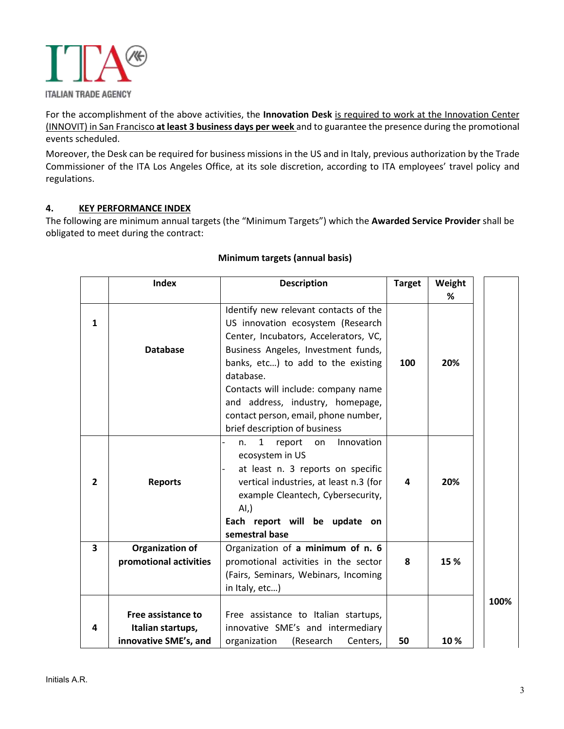

For the accomplishment of the above activities, the **Innovation Desk** is required to work at the Innovation Center (INNOVIT) in San Francisco **at least 3 business days per week** and to guarantee the presence during the promotional events scheduled.

Moreover, the Desk can be required for business missions in the US and in Italy, previous authorization by the Trade Commissioner of the ITA Los Angeles Office, at its sole discretion, according to ITA employees' travel policy and regulations.

# **4. KEY PERFORMANCE INDEX**

The following are minimum annual targets (the "Minimum Targets") which the **Awarded Service Provider** shall be obligated to meet during the contract:

|                | <b>Index</b>           | <b>Description</b>                               | <b>Target</b> | Weight |      |
|----------------|------------------------|--------------------------------------------------|---------------|--------|------|
|                |                        |                                                  |               | %      |      |
|                |                        | Identify new relevant contacts of the            |               |        |      |
| 1              |                        | US innovation ecosystem (Research                |               |        |      |
|                |                        | Center, Incubators, Accelerators, VC,            |               |        |      |
|                | <b>Database</b>        | Business Angeles, Investment funds,              |               |        |      |
|                |                        | banks, etc) to add to the existing               | 100           | 20%    |      |
|                |                        | database.                                        |               |        |      |
|                |                        | Contacts will include: company name              |               |        |      |
|                |                        | and address, industry, homepage,                 |               |        |      |
|                |                        | contact person, email, phone number,             |               |        |      |
|                |                        | brief description of business                    |               |        |      |
|                |                        | Innovation<br>$\mathbf{1}$<br>report<br>on<br>n. |               |        |      |
|                |                        | ecosystem in US                                  |               |        |      |
|                |                        | at least n. 3 reports on specific                |               |        |      |
| $\overline{2}$ | <b>Reports</b>         | vertical industries, at least n.3 (for           | 4             | 20%    |      |
|                |                        | example Cleantech, Cybersecurity,                |               |        |      |
|                |                        | AI,                                              |               |        |      |
|                |                        | Each report will be update on                    |               |        |      |
|                |                        | semestral base                                   |               |        |      |
| 3              | <b>Organization of</b> | Organization of a minimum of n. 6                |               |        |      |
|                | promotional activities | promotional activities in the sector             | 8             | 15 %   |      |
|                |                        | (Fairs, Seminars, Webinars, Incoming             |               |        |      |
|                |                        | in Italy, etc)                                   |               |        |      |
|                |                        |                                                  |               |        | 100% |
|                | Free assistance to     | Free assistance to Italian startups,             |               |        |      |
| 4              | Italian startups,      | innovative SME's and intermediary                |               |        |      |
|                | innovative SME's, and  | organization<br>(Research<br>Centers,            | 50            | 10%    |      |

### **Minimum targets (annual basis)**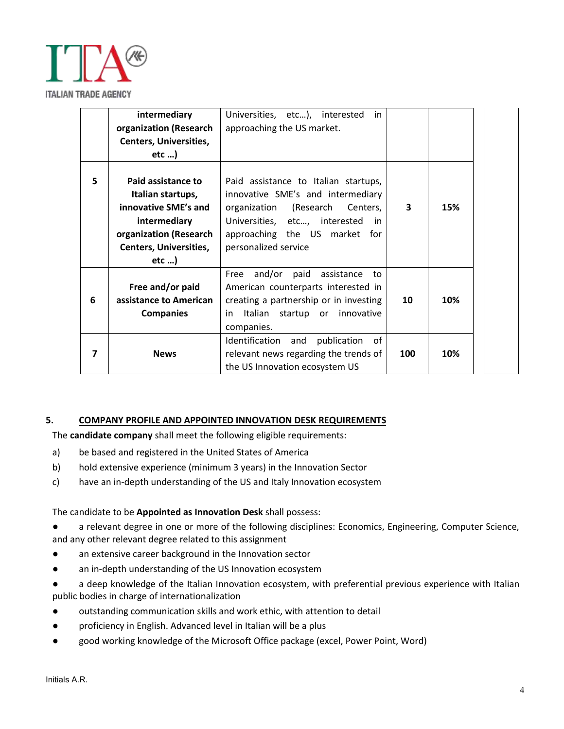

|   | intermediary                                                                                                                                          | Universities, etc), interested<br>in                                                                                                                                                                         |     |     |
|---|-------------------------------------------------------------------------------------------------------------------------------------------------------|--------------------------------------------------------------------------------------------------------------------------------------------------------------------------------------------------------------|-----|-----|
|   | organization (Research                                                                                                                                | approaching the US market.                                                                                                                                                                                   |     |     |
|   | <b>Centers, Universities,</b>                                                                                                                         |                                                                                                                                                                                                              |     |     |
|   | $etc$ )                                                                                                                                               |                                                                                                                                                                                                              |     |     |
| 5 | Paid assistance to<br>Italian startups,<br>innovative SME's and<br>intermediary<br>organization (Research<br><b>Centers, Universities,</b><br>$etc$ ) | Paid assistance to Italian startups,<br>innovative SME's and intermediary<br>organization (Research<br>Centers,<br>Universities, etc, interested in<br>approaching the US market for<br>personalized service | 3   | 15% |
| 6 | Free and/or paid<br>assistance to American<br><b>Companies</b>                                                                                        | and/or<br>paid<br>Free<br>assistance<br>to<br>American counterparts interested in<br>creating a partnership or in investing<br>Italian startup or<br>innovative<br>in.<br>companies.                         | 10  | 10% |
|   | <b>News</b>                                                                                                                                           | publication<br>of<br>Identification<br>and<br>relevant news regarding the trends of<br>the US Innovation ecosystem US                                                                                        | 100 | 10% |

#### **5. COMPANY PROFILE AND APPOINTED INNOVATION DESK REQUIREMENTS**

The **candidate company** shall meet the following eligible requirements:

- a) be based and registered in the United States of America
- b) hold extensive experience (minimum 3 years) in the Innovation Sector
- c) have an in-depth understanding of the US and Italy Innovation ecosystem

### The candidate to be **Appointed as Innovation Desk** shall possess:

- a relevant degree in one or more of the following disciplines: Economics, Engineering, Computer Science, and any other relevant degree related to this assignment
- an extensive career background in the Innovation sector
- an in-depth understanding of the US Innovation ecosystem
- a deep knowledge of the Italian Innovation ecosystem, with preferential previous experience with Italian public bodies in charge of internationalization
- outstanding communication skills and work ethic, with attention to detail
- proficiency in English. Advanced level in Italian will be a plus
- good working knowledge of the Microsoft Office package (excel, Power Point, Word)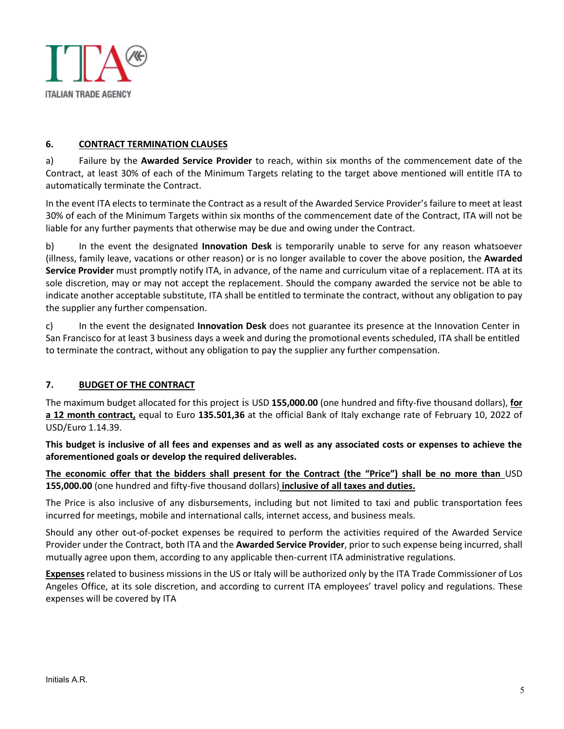

# **6. CONTRACT TERMINATION CLAUSES**

a) Failure by the **Awarded Service Provider** to reach, within six months of the commencement date of the Contract, at least 30% of each of the Minimum Targets relating to the target above mentioned will entitle ITA to automatically terminate the Contract.

In the event ITA elects to terminate the Contract as a result of the Awarded Service Provider's failure to meet at least 30% of each of the Minimum Targets within six months of the commencement date of the Contract, ITA will not be liable for any further payments that otherwise may be due and owing under the Contract.

b) In the event the designated **Innovation Desk** is temporarily unable to serve for any reason whatsoever (illness, family leave, vacations or other reason) or is no longer available to cover the above position, the **Awarded Service Provider** must promptly notify ITA, in advance, of the name and curriculum vitae of a replacement. ITA at its sole discretion, may or may not accept the replacement. Should the company awarded the service not be able to indicate another acceptable substitute, ITA shall be entitled to terminate the contract, without any obligation to pay the supplier any further compensation.

c) In the event the designated **Innovation Desk** does not guarantee its presence at the Innovation Center in San Francisco for at least 3 business days a week and during the promotional events scheduled, ITA shall be entitled to terminate the contract, without any obligation to pay the supplier any further compensation.

# **7. BUDGET OF THE CONTRACT**

The maximum budget allocated for this project is USD **155,000.00** (one hundred and fifty-five thousand dollars), **for a 12 month contract,** equal to Euro **135.501,36** at the official Bank of Italy exchange rate of February 10, 2022 of USD/Euro 1.14.39.

**This budget is inclusive of all fees and expenses and as well as any associated costs or expenses to achieve the aforementioned goals or develop the required deliverables.**

**The economic offer that the bidders shall present for the Contract (the "Price") shall be no more than** USD **155,000.00** (one hundred and fifty-five thousand dollars) **inclusive of all taxes and duties.**

The Price is also inclusive of any disbursements, including but not limited to taxi and public transportation fees incurred for meetings, mobile and international calls, internet access, and business meals.

Should any other out-of-pocket expenses be required to perform the activities required of the Awarded Service Provider under the Contract, both ITA and the **Awarded Service Provider**, prior to such expense being incurred, shall mutually agree upon them, according to any applicable then-current ITA administrative regulations.

**Expenses** related to business missions in the US or Italy will be authorized only by the ITA Trade Commissioner of Los Angeles Office, at its sole discretion, and according to current ITA employees' travel policy and regulations. These expenses will be covered by ITA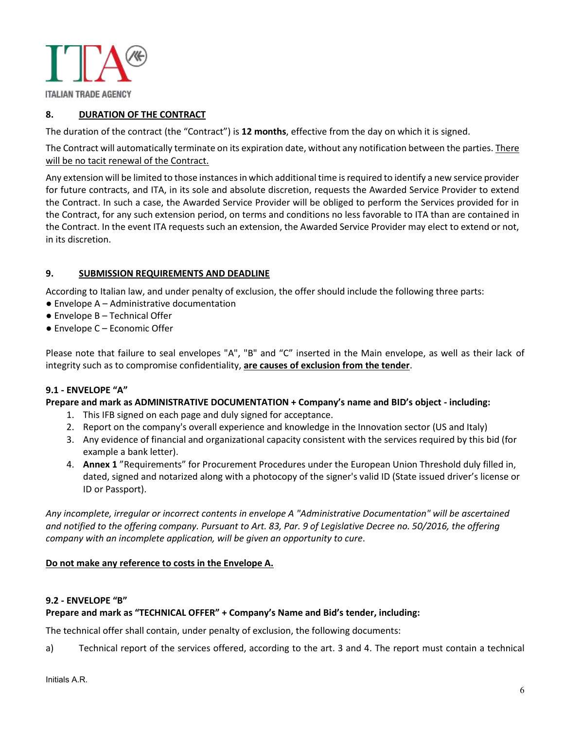

**ITALIAN TRADE AGENCY** 

# **8. DURATION OF THE CONTRACT**

The duration of the contract (the "Contract") is **12 months**, effective from the day on which it is signed.

The Contract will automatically terminate on its expiration date, without any notification between the parties. There will be no tacit renewal of the Contract.

Any extension will be limited to those instances in which additional time is required to identify a new service provider for future contracts, and ITA, in its sole and absolute discretion, requests the Awarded Service Provider to extend the Contract. In such a case, the Awarded Service Provider will be obliged to perform the Services provided for in the Contract, for any such extension period, on terms and conditions no less favorable to ITA than are contained in the Contract. In the event ITA requests such an extension, the Awarded Service Provider may elect to extend or not, in its discretion.

#### **9. SUBMISSION REQUIREMENTS AND DEADLINE**

According to Italian law, and under penalty of exclusion, the offer should include the following three parts:

- Envelope A Administrative documentation
- Envelope B Technical Offer
- Envelope C Economic Offer

Please note that failure to seal envelopes "A", "B" and "C" inserted in the Main envelope, as well as their lack of integrity such as to compromise confidentiality, **are causes of exclusion from the tender**.

#### **9.1 - ENVELOPE "A"**

#### **Prepare and mark as ADMINISTRATIVE DOCUMENTATION + Company's name and BID's object - including:**

- 1. This IFB signed on each page and duly signed for acceptance.
- 2. Report on the company's overall experience and knowledge in the Innovation sector (US and Italy)
- 3. Any evidence of financial and organizational capacity consistent with the services required by this bid (for example a bank letter).
- 4. **Annex 1** "Requirements" for Procurement Procedures under the European Union Threshold duly filled in, dated, signed and notarized along with a photocopy of the signer's valid ID (State issued driver's license or ID or Passport).

*Any incomplete, irregular or incorrect contents in envelope A "Administrative Documentation" will be ascertained and notified to the offering company. Pursuant to Art. 83, Par. 9 of Legislative Decree no. 50/2016, the offering company with an incomplete application, will be given an opportunity to cure*.

#### **Do not make any reference to costs in the Envelope A.**

#### **9.2 - ENVELOPE "B"**

#### **Prepare and mark as "TECHNICAL OFFER" + Company's Name and Bid's tender, including:**

The technical offer shall contain, under penalty of exclusion, the following documents:

a) Technical report of the services offered, according to the art. 3 and 4. The report must contain a technical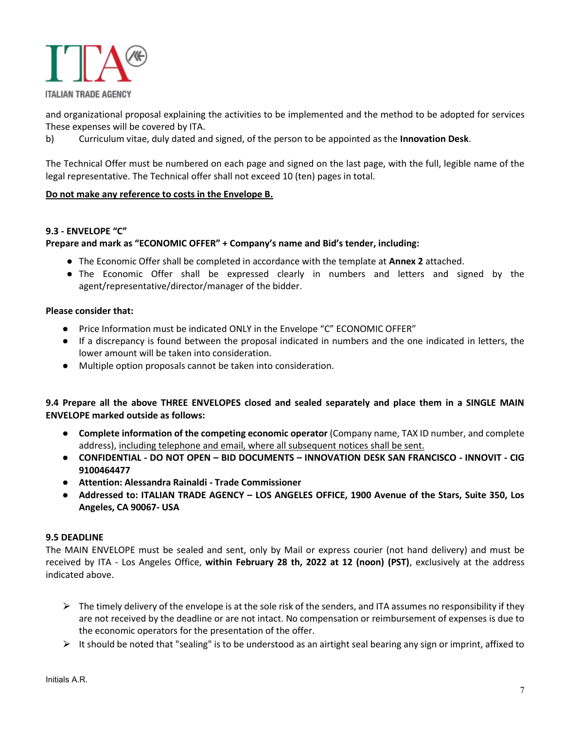

and organizational proposal explaining the activities to be implemented and the method to be adopted for services These expenses will be covered by ITA.

b) Curriculum vitae, duly dated and signed, of the person to be appointed as the **Innovation Desk**.

The Technical Offer must be numbered on each page and signed on the last page, with the full, legible name of the legal representative. The Technical offer shall not exceed 10 (ten) pages in total.

# **Do not make any reference to costs in the Envelope B.**

#### **9.3 - ENVELOPE "C"**

#### **Prepare and mark as "ECONOMIC OFFER" + Company's name and Bid's tender, including:**

- The Economic Offer shall be completed in accordance with the template at **Annex 2** attached.
- The Economic Offer shall be expressed clearly in numbers and letters and signed by the agent/representative/director/manager of the bidder.

#### **Please consider that:**

- Price Information must be indicated ONLY in the Envelope "C" ECONOMIC OFFER"
- If a discrepancy is found between the proposal indicated in numbers and the one indicated in letters, the lower amount will be taken into consideration.
- Multiple option proposals cannot be taken into consideration.

# **9.4 Prepare all the above THREE ENVELOPES closed and sealed separately and place them in a SINGLE MAIN ENVELOPE marked outside as follows:**

- **Complete information of the competing economic operator** (Company name, TAX ID number, and complete address), including telephone and email, where all subsequent notices shall be sent.
- **CONFIDENTIAL - DO NOT OPEN – BID DOCUMENTS – INNOVATION DESK SAN FRANCISCO - INNOVIT - CIG 9100464477**
- **Attention: Alessandra Rainaldi - Trade Commissioner**
- **Addressed to: ITALIAN TRADE AGENCY – LOS ANGELES OFFICE, 1900 Avenue of the Stars, Suite 350, Los Angeles, CA 90067- USA**

#### **9.5 DEADLINE**

The MAIN ENVELOPE must be sealed and sent, only by Mail or express courier (not hand delivery) and must be received by ITA - Los Angeles Office, **within February 28 th, 2022 at 12 (noon) (PST)**, exclusively at the address indicated above.

- $\triangleright$  The timely delivery of the envelope is at the sole risk of the senders, and ITA assumes no responsibility if they are not received by the deadline or are not intact. No compensation or reimbursement of expenses is due to the economic operators for the presentation of the offer.
- $\triangleright$  It should be noted that "sealing" is to be understood as an airtight seal bearing any sign or imprint, affixed to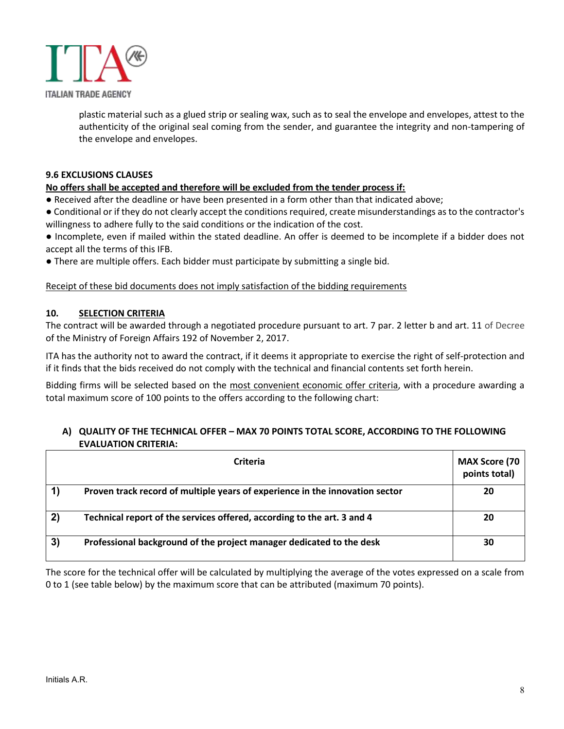

plastic material such as a glued strip or sealing wax, such as to seal the envelope and envelopes, attest to the authenticity of the original seal coming from the sender, and guarantee the integrity and non-tampering of the envelope and envelopes.

#### **9.6 EXCLUSIONS CLAUSES**

#### **No offers shall be accepted and therefore will be excluded from the tender process if:**

- Received after the deadline or have been presented in a form other than that indicated above;
- Conditional or if they do not clearly accept the conditions required, create misunderstandings as to the contractor's willingness to adhere fully to the said conditions or the indication of the cost.
- Incomplete, even if mailed within the stated deadline. An offer is deemed to be incomplete if a bidder does not accept all the terms of this IFB.
- There are multiple offers. Each bidder must participate by submitting a single bid.

#### Receipt of these bid documents does not imply satisfaction of the bidding requirements

#### **10. SELECTION CRITERIA**

The contract will be awarded through a negotiated procedure pursuant to art. 7 par. 2 letter b and art. 11 of Decree of the Ministry of Foreign Affairs 192 of November 2, 2017.

ITA has the authority not to award the contract, if it deems it appropriate to exercise the right of self-protection and if it finds that the bids received do not comply with the technical and financial contents set forth herein.

Bidding firms will be selected based on the most convenient economic offer criteria, with a procedure awarding a total maximum score of 100 points to the offers according to the following chart:

#### **A) QUALITY OF THE TECHNICAL OFFER – MAX 70 POINTS TOTAL SCORE, ACCORDING TO THE FOLLOWING EVALUATION CRITERIA:**

|    | Criteria                                                                     | <b>MAX Score (70</b><br>points total) |
|----|------------------------------------------------------------------------------|---------------------------------------|
|    | Proven track record of multiple years of experience in the innovation sector | 20                                    |
| 2) | Technical report of the services offered, according to the art. 3 and 4      | 20                                    |
| 3) | Professional background of the project manager dedicated to the desk         | 30                                    |

The score for the technical offer will be calculated by multiplying the average of the votes expressed on a scale from 0 to 1 (see table below) by the maximum score that can be attributed (maximum 70 points).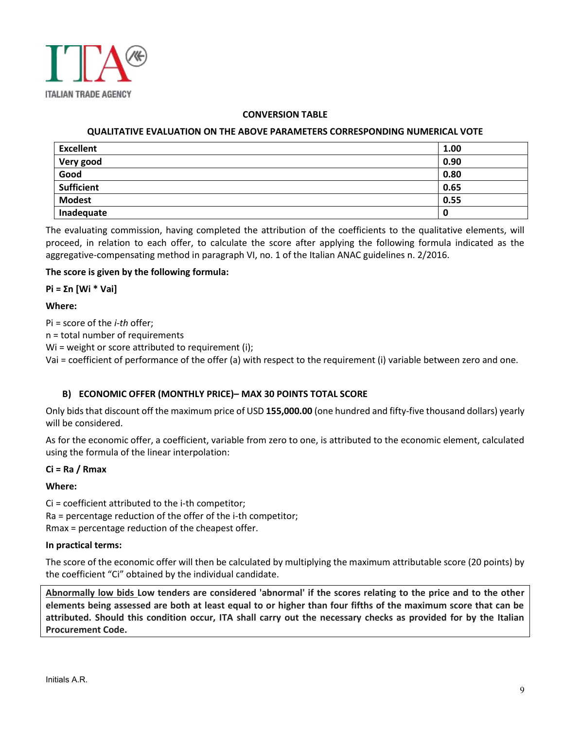

#### **CONVERSION TABLE**

#### **QUALITATIVE EVALUATION ON THE ABOVE PARAMETERS CORRESPONDING NUMERICAL VOTE**

| <b>Excellent</b>  | 1.00 |
|-------------------|------|
| Very good         | 0.90 |
| Good              | 0.80 |
| <b>Sufficient</b> | 0.65 |
| <b>Modest</b>     | 0.55 |
| Inadequate        | 0    |

The evaluating commission, having completed the attribution of the coefficients to the qualitative elements, will proceed, in relation to each offer, to calculate the score after applying the following formula indicated as the aggregative-compensating method in paragraph VI, no. 1 of the Italian ANAC guidelines n. 2/2016.

#### **The score is given by the following formula:**

**Pi = Σn [Wi \* Vai]**

#### **Where:**

Pi = score of the *i-th* offer;

n = total number of requirements

Wi = weight or score attributed to requirement (i);

Vai = coefficient of performance of the offer (a) with respect to the requirement (i) variable between zero and one.

#### **B) ECONOMIC OFFER (MONTHLY PRICE)– MAX 30 POINTS TOTAL SCORE**

Only bids that discount off the maximum price of USD **155,000.00** (one hundred and fifty-five thousand dollars) yearly will be considered.

As for the economic offer, a coefficient, variable from zero to one, is attributed to the economic element, calculated using the formula of the linear interpolation:

#### **Ci = Ra / Rmax**

#### **Where:**

Ci = coefficient attributed to the i-th competitor; Ra = percentage reduction of the offer of the i-th competitor; Rmax = percentage reduction of the cheapest offer.

#### **In practical terms:**

The score of the economic offer will then be calculated by multiplying the maximum attributable score (20 points) by the coefficient "Ci" obtained by the individual candidate.

**Abnormally low bids Low tenders are considered 'abnormal' if the scores relating to the price and to the other elements being assessed are both at least equal to or higher than four fifths of the maximum score that can be attributed. Should this condition occur, ITA shall carry out the necessary checks as provided for by the Italian Procurement Code.**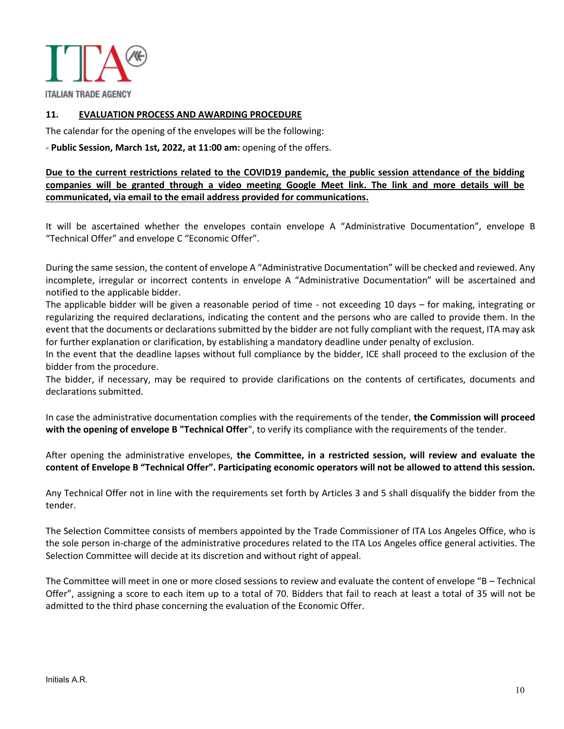

**ITALIAN TRADE AGENCY** 

#### **11. EVALUATION PROCESS AND AWARDING PROCEDURE**

The calendar for the opening of the envelopes will be the following:

- **Public Session, March 1st, 2022, at 11:00 am:** opening of the offers.

**Due to the current restrictions related to the COVID19 pandemic, the public session attendance of the bidding companies will be granted through a video meeting Google Meet link. The link and more details will be communicated, via email to the email address provided for communications.** 

It will be ascertained whether the envelopes contain envelope A "Administrative Documentation", envelope B "Technical Offer" and envelope C "Economic Offer".

During the same session, the content of envelope A "Administrative Documentation" will be checked and reviewed. Any incomplete, irregular or incorrect contents in envelope A "Administrative Documentation" will be ascertained and notified to the applicable bidder.

The applicable bidder will be given a reasonable period of time - not exceeding 10 days – for making, integrating or regularizing the required declarations, indicating the content and the persons who are called to provide them. In the event that the documents or declarations submitted by the bidder are not fully compliant with the request, ITA may ask for further explanation or clarification, by establishing a mandatory deadline under penalty of exclusion.

In the event that the deadline lapses without full compliance by the bidder, ICE shall proceed to the exclusion of the bidder from the procedure.

The bidder, if necessary, may be required to provide clarifications on the contents of certificates, documents and declarations submitted.

In case the administrative documentation complies with the requirements of the tender, **the Commission will proceed with the opening of envelope B "Technical Offer**", to verify its compliance with the requirements of the tender.

After opening the administrative envelopes, **the Committee, in a restricted session, will review and evaluate the content of Envelope B "Technical Offer". Participating economic operators will not be allowed to attend this session.** 

Any Technical Offer not in line with the requirements set forth by Articles 3 and 5 shall disqualify the bidder from the tender.

The Selection Committee consists of members appointed by the Trade Commissioner of ITA Los Angeles Office, who is the sole person in-charge of the administrative procedures related to the ITA Los Angeles office general activities. The Selection Committee will decide at its discretion and without right of appeal.

The Committee will meet in one or more closed sessions to review and evaluate the content of envelope "B – Technical Offer", assigning a score to each item up to a total of 70. Bidders that fail to reach at least a total of 35 will not be admitted to the third phase concerning the evaluation of the Economic Offer.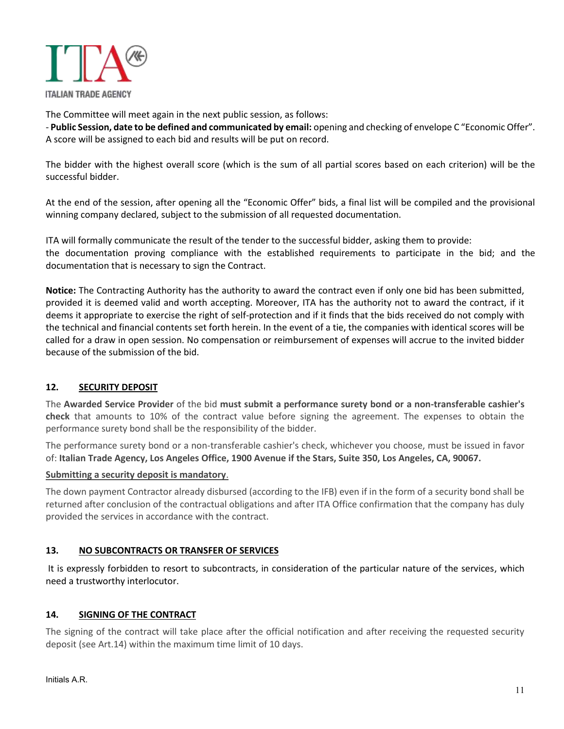

The Committee will meet again in the next public session, as follows:

- **Public Session, date to be defined and communicated by email:** opening and checking of envelope C "Economic Offer". A score will be assigned to each bid and results will be put on record.

The bidder with the highest overall score (which is the sum of all partial scores based on each criterion) will be the successful bidder.

At the end of the session, after opening all the "Economic Offer" bids, a final list will be compiled and the provisional winning company declared, subject to the submission of all requested documentation.

ITA will formally communicate the result of the tender to the successful bidder, asking them to provide: the documentation proving compliance with the established requirements to participate in the bid; and the documentation that is necessary to sign the Contract.

**Notice:** The Contracting Authority has the authority to award the contract even if only one bid has been submitted, provided it is deemed valid and worth accepting. Moreover, ITA has the authority not to award the contract, if it deems it appropriate to exercise the right of self-protection and if it finds that the bids received do not comply with the technical and financial contents set forth herein. In the event of a tie, the companies with identical scores will be called for a draw in open session. No compensation or reimbursement of expenses will accrue to the invited bidder because of the submission of the bid.

# **12. SECURITY DEPOSIT**

The **Awarded Service Provider** of the bid **must submit a performance surety bond or a non-transferable cashier's check** that amounts to 10% of the contract value before signing the agreement. The expenses to obtain the performance surety bond shall be the responsibility of the bidder.

The performance surety bond or a non-transferable cashier's check, whichever you choose, must be issued in favor of: **Italian Trade Agency, Los Angeles Office, 1900 Avenue if the Stars, Suite 350, Los Angeles, CA, 90067.** 

#### **Submitting a security deposit is mandatory**.

The down payment Contractor already disbursed (according to the IFB) even if in the form of a security bond shall be returned after conclusion of the contractual obligations and after ITA Office confirmation that the company has duly provided the services in accordance with the contract.

#### **13. NO SUBCONTRACTS OR TRANSFER OF SERVICES**

It is expressly forbidden to resort to subcontracts, in consideration of the particular nature of the services, which need a trustworthy interlocutor.

#### **14. SIGNING OF THE CONTRACT**

The signing of the contract will take place after the official notification and after receiving the requested security deposit (see Art.14) within the maximum time limit of 10 days.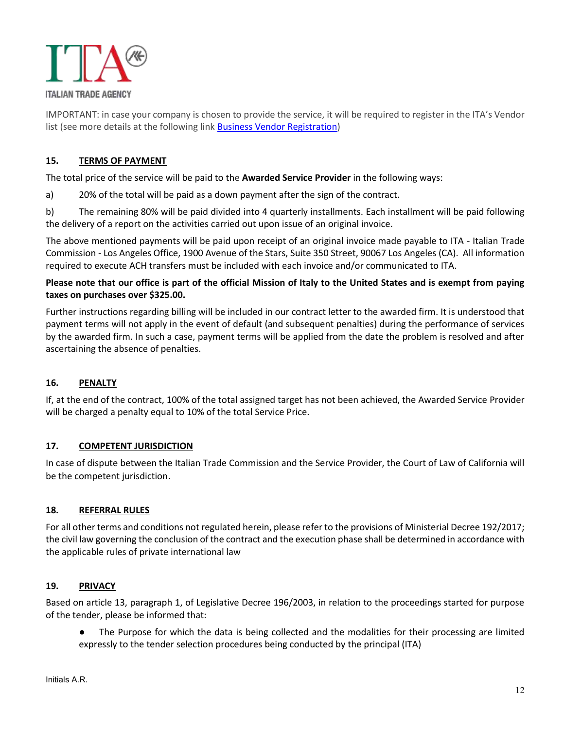

IMPORTANT: in case your company is chosen to provide the service, it will be required to register in the ITA's Vendor list (see more details at the following link Business Vendor Registration)

# **15. TERMS OF PAYMENT**

The total price of the service will be paid to the **Awarded Service Provider** in the following ways:

a) 20% of the total will be paid as a down payment after the sign of the contract.

b) The remaining 80% will be paid divided into 4 quarterly installments. Each installment will be paid following the delivery of a report on the activities carried out upon issue of an original invoice.

The above mentioned payments will be paid upon receipt of an original invoice made payable to ITA - Italian Trade Commission - Los Angeles Office, 1900 Avenue of the Stars, Suite 350 Street, 90067 Los Angeles (CA). All information required to execute ACH transfers must be included with each invoice and/or communicated to ITA.

# **Please note that our office is part of the official Mission of Italy to the United States and is exempt from paying taxes on purchases over \$325.00.**

Further instructions regarding billing will be included in our contract letter to the awarded firm. It is understood that payment terms will not apply in the event of default (and subsequent penalties) during the performance of services by the awarded firm. In such a case, payment terms will be applied from the date the problem is resolved and after ascertaining the absence of penalties.

# **16. PENALTY**

If, at the end of the contract, 100% of the total assigned target has not been achieved, the Awarded Service Provider will be charged a penalty equal to 10% of the total Service Price.

# **17. COMPETENT JURISDICTION**

In case of dispute between the Italian Trade Commission and the Service Provider, the Court of Law of California will be the competent jurisdiction.

#### **18. REFERRAL RULES**

For all other terms and conditions not regulated herein, please refer to the provisions of Ministerial Decree 192/2017; the civil law governing the conclusion of the contract and the execution phase shall be determined in accordance with the applicable rules of private international law

#### **19. PRIVACY**

Based on article 13, paragraph 1, of Legislative Decree 196/2003, in relation to the proceedings started for purpose of the tender, please be informed that:

The Purpose for which the data is being collected and the modalities for their processing are limited expressly to the tender selection procedures being conducted by the principal (ITA)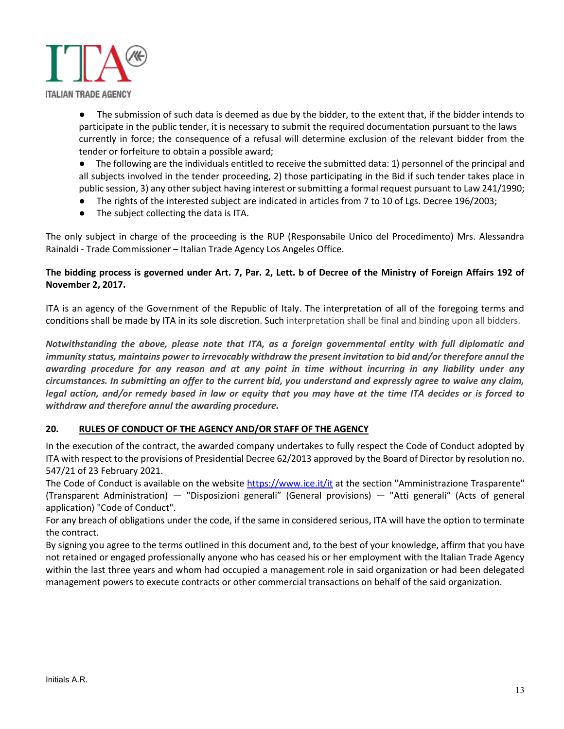

The submission of such data is deemed as due by the bidder, to the extent that, if the bidder intends to participate in the public tender, it is necessary to submit the required documentation pursuant to the laws currently in force; the consequence of a refusal will determine exclusion of the relevant bidder from the tender or forfeiture to obtain a possible award;

● The following are the individuals entitled to receive the submitted data: 1) personnel of the principal and all subjects involved in the tender proceeding, 2) those participating in the Bid if such tender takes place in public session, 3) any other subject having interest or submitting a formal request pursuant to Law 241/1990;

- The rights of the interested subject are indicated in articles from 7 to 10 of Lgs. Decree 196/2003;
- The subject collecting the data is ITA.

The only subject in charge of the proceeding is the RUP (Responsabile Unico del Procedimento) Mrs. Alessandra Rainaldi - Trade Commissioner – Italian Trade Agency Los Angeles Office.

# **The bidding process is governed under Art. 7, Par. 2, Lett. b of Decree of the Ministry of Foreign Affairs 192 of November 2, 2017.**

ITA is an agency of the Government of the Republic of Italy. The interpretation of all of the foregoing terms and conditions shall be made by ITA in its sole discretion. Such interpretation shall be final and binding upon all bidders.

*Notwithstanding the above, please note that ITA, as a foreign governmental entity with full diplomatic and immunity status, maintains power to irrevocably withdraw the present invitation to bid and/or therefore annul the awarding procedure for any reason and at any point in time without incurring in any liability under any circumstances. In submitting an offer to the current bid, you understand and expressly agree to waive any claim, legal action, and/or remedy based in law or equity that you may have at the time ITA decides or is forced to withdraw and therefore annul the awarding procedure.* 

# **20. RULES OF CONDUCT OF THE AGENCY AND/OR STAFF OF THE AGENCY**

In the execution of the contract, the awarded company undertakes to fully respect the Code of Conduct adopted by ITA with respect to the provisions of Presidential Decree 62/2013 approved by the Board of Director by resolution no. 547/21 of 23 February 2021.

The Code of Conduct is available on the website https://www.ice.it/it at the section "Amministrazione Trasparente" (Transparent Administration) — "Disposizioni generali" (General provisions) — "Atti generali" (Acts of general application) "Code of Conduct".

For any breach of obligations under the code, if the same in considered serious, ITA will have the option to terminate the contract.

By signing you agree to the terms outlined in this document and, to the best of your knowledge, affirm that you have not retained or engaged professionally anyone who has ceased his or her employment with the Italian Trade Agency within the last three years and whom had occupied a management role in said organization or had been delegated management powers to execute contracts or other commercial transactions on behalf of the said organization.